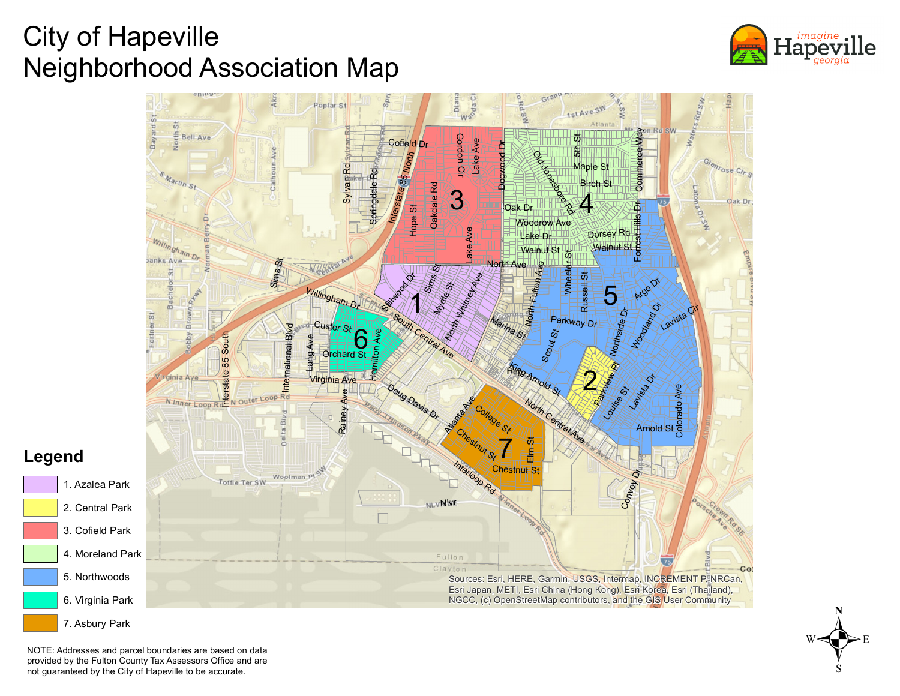## City of Hapeville Neighborhood Association Map





NOTE: Addresses and parcel boundaries are based on data provided by the Fulton County Tax Assessors Office and are not guaranteed by the City of Hapeville to be accurate.

 $w \leftarrow \bigodot$ <br> $\searrow$   $E$